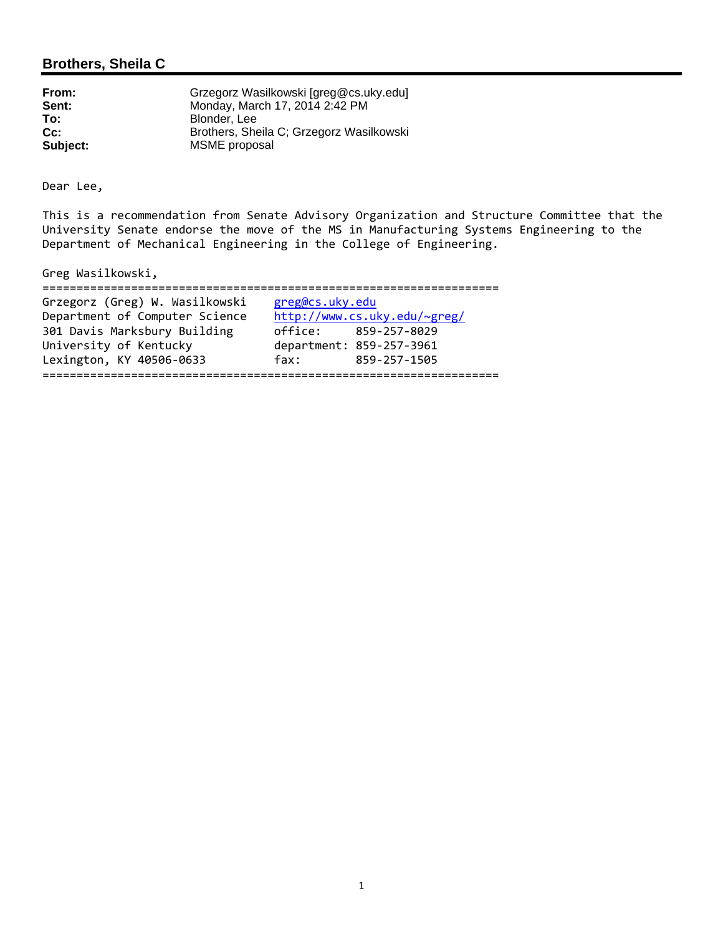## **Brothers, Sheila C**

| From:    | Grzegorz Wasilkowski [greg@cs.uky.edu]   |
|----------|------------------------------------------|
| Sent:    | Monday, March 17, 2014 2:42 PM           |
| To:      | Blonder, Lee                             |
| $Cc$ :   | Brothers, Sheila C; Grzegorz Wasilkowski |
| Subject: | MSME proposal                            |

Dear Lee,

This is a recommendation from Senate Advisory Organization and Structure Committee that the University Senate endorse the move of the MS in Manufacturing Systems Engineering to the Department of Mechanical Engineering in the College of Engineering.

Greg Wasilkowski,

| Grzegorz (Greg) W. Wasilkowski | greg@cs.uky.edu              |
|--------------------------------|------------------------------|
| Department of Computer Science | http://www.cs.uky.edu/~greg/ |
| 301 Davis Marksbury Building   | office: 859-257-8029         |
| University of Kentucky         | department: 859-257-3961     |
| Lexington, KY 40506-0633       | 859-257-1505<br>fax:         |
|                                |                              |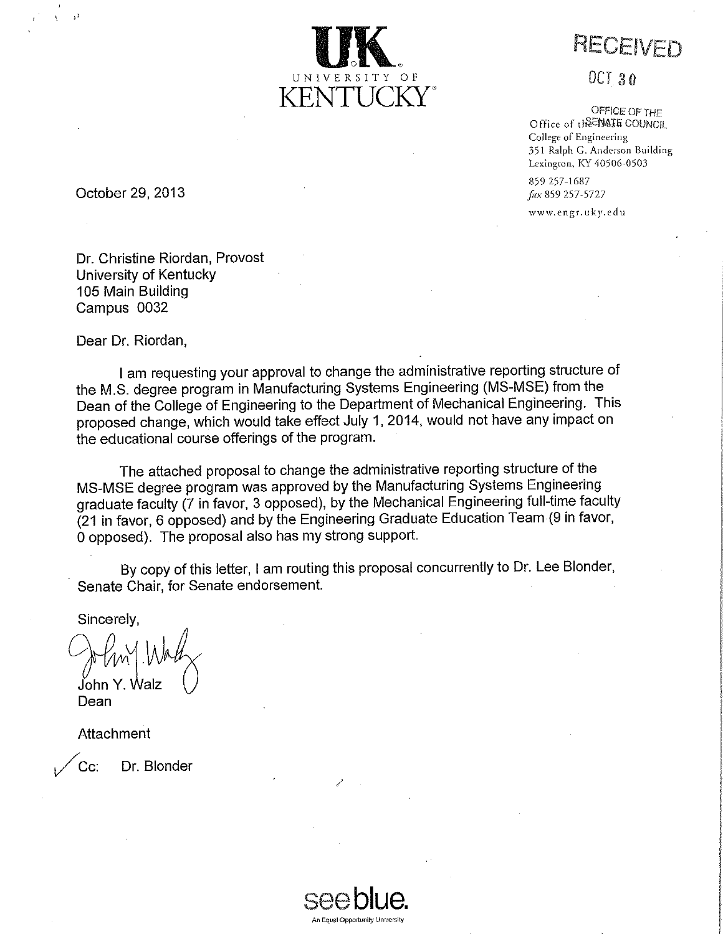

RECEIVED

**OCT 30** 

OFFICE OF THE Office of the NAIR COUNCIL College of Engineering 351 Ralph G. Anderson Building Lexington, KY 40506-0503

859 257-1687 fax 859 257-5727

www.engr.uky.edu

October 29, 2013

Dr. Christine Riordan, Provost University of Kentucky 105 Main Building Campus 0032

Dear Dr. Riordan,

I am requesting your approval to change the administrative reporting structure of the M.S. degree program in Manufacturing Systems Engineering (MS-MSE) from the Dean of the College of Engineering to the Department of Mechanical Engineering. This proposed change, which would take effect July 1, 2014, would not have any impact on the educational course offerings of the program.

The attached proposal to change the administrative reporting structure of the MS-MSE degree program was approved by the Manufacturing Systems Engineering graduate faculty (7 in favor, 3 opposed), by the Mechanical Engineering full-time faculty (21 in favor, 6 opposed) and by the Engineering Graduate Education Team (9 in favor, 0 opposed). The proposal also has my strong support.

By copy of this letter, I am routing this proposal concurrently to Dr. Lee Blonder, Senate Chair, for Senate endorsement.

Sincerely

John Y. Walz

Dean

Attachment

Cc. Dr. Blonder

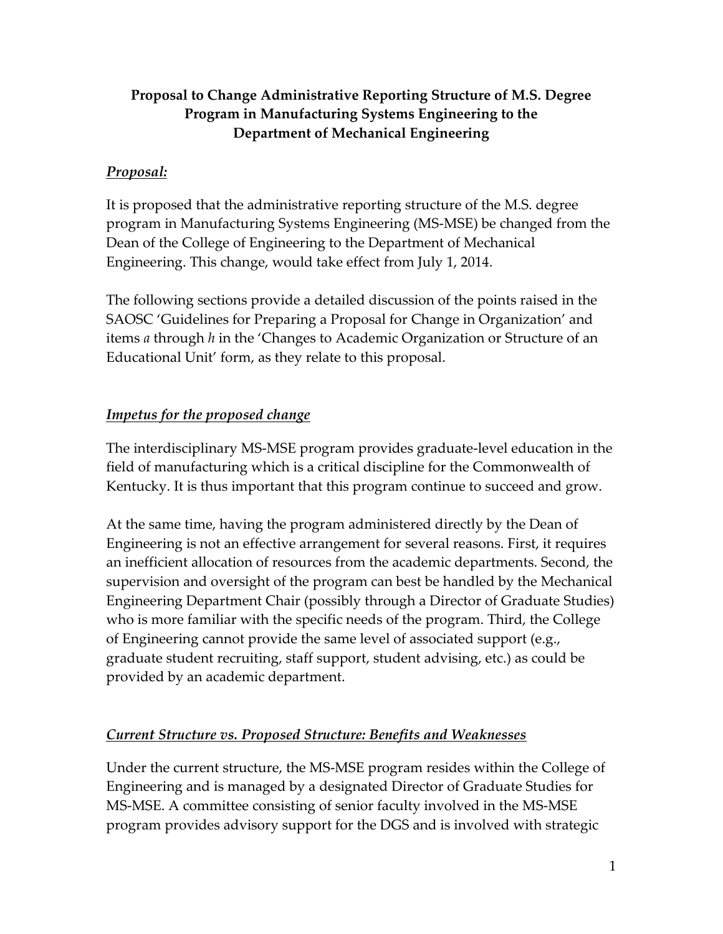# **Proposal to Change Administrative Reporting Structure of M.S. Degree Program in Manufacturing Systems Engineering to the Department of Mechanical Engineering**

# *Proposal:*

It is proposed that the administrative reporting structure of the M.S. degree program in Manufacturing Systems Engineering (MS-MSE) be changed from the Dean of the College of Engineering to the Department of Mechanical Engineering. This change, would take effect from July 1, 2014.

The following sections provide a detailed discussion of the points raised in the SAOSC 'Guidelines for Preparing a Proposal for Change in Organization' and items *a* through *h* in the 'Changes to Academic Organization or Structure of an Educational Unit' form, as they relate to this proposal.

## *Impetus for the proposed change*

The interdisciplinary MS-MSE program provides graduate-level education in the field of manufacturing which is a critical discipline for the Commonwealth of Kentucky. It is thus important that this program continue to succeed and grow.

At the same time, having the program administered directly by the Dean of Engineering is not an effective arrangement for several reasons. First, it requires an inefficient allocation of resources from the academic departments. Second, the supervision and oversight of the program can best be handled by the Mechanical Engineering Department Chair (possibly through a Director of Graduate Studies) who is more familiar with the specific needs of the program. Third, the College of Engineering cannot provide the same level of associated support (e.g., graduate student recruiting, staff support, student advising, etc.) as could be provided by an academic department.

# *Current Structure vs. Proposed Structure: Benefits and Weaknesses*

Under the current structure, the MS-MSE program resides within the College of Engineering and is managed by a designated Director of Graduate Studies for MS-MSE. A committee consisting of senior faculty involved in the MS-MSE program provides advisory support for the DGS and is involved with strategic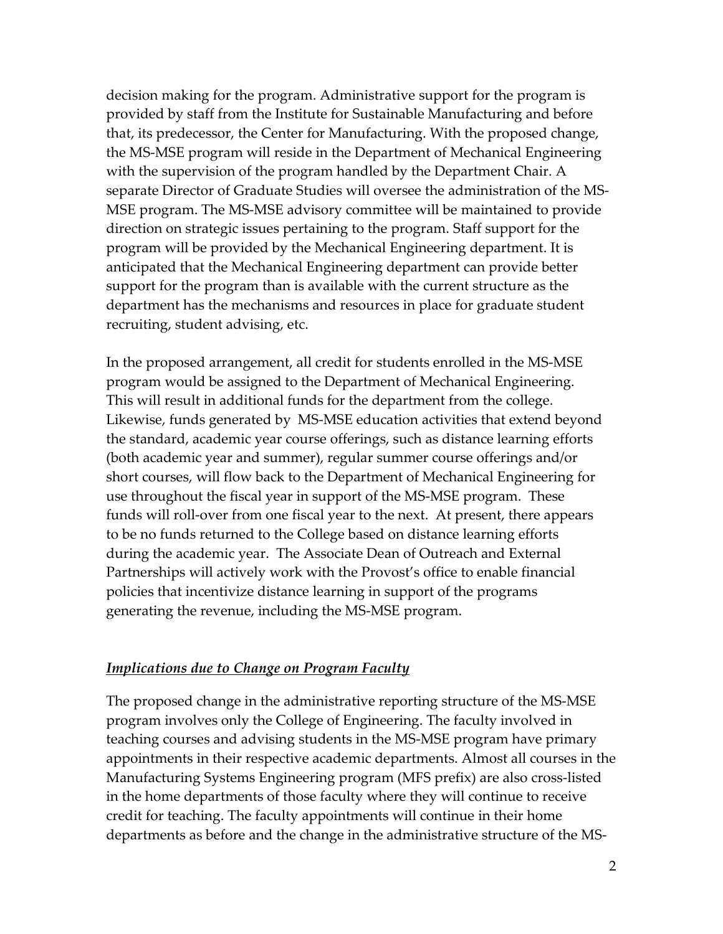decision making for the program. Administrative support for the program is provided by staff from the Institute for Sustainable Manufacturing and before that, its predecessor, the Center for Manufacturing. With the proposed change, the MS-MSE program will reside in the Department of Mechanical Engineering with the supervision of the program handled by the Department Chair. A separate Director of Graduate Studies will oversee the administration of the MS-MSE program. The MS-MSE advisory committee will be maintained to provide direction on strategic issues pertaining to the program. Staff support for the program will be provided by the Mechanical Engineering department. It is anticipated that the Mechanical Engineering department can provide better support for the program than is available with the current structure as the department has the mechanisms and resources in place for graduate student recruiting, student advising, etc.

In the proposed arrangement, all credit for students enrolled in the MS-MSE program would be assigned to the Department of Mechanical Engineering. This will result in additional funds for the department from the college. Likewise, funds generated by MS-MSE education activities that extend beyond the standard, academic year course offerings, such as distance learning efforts (both academic year and summer), regular summer course offerings and/or short courses, will flow back to the Department of Mechanical Engineering for use throughout the fiscal year in support of the MS-MSE program. These funds will roll-over from one fiscal year to the next. At present, there appears to be no funds returned to the College based on distance learning efforts during the academic year. The Associate Dean of Outreach and External Partnerships will actively work with the Provost's office to enable financial policies that incentivize distance learning in support of the programs generating the revenue, including the MS-MSE program.

### *Implications due to Change on Program Faculty*

The proposed change in the administrative reporting structure of the MS-MSE program involves only the College of Engineering. The faculty involved in teaching courses and advising students in the MS-MSE program have primary appointments in their respective academic departments. Almost all courses in the Manufacturing Systems Engineering program (MFS prefix) are also cross-listed in the home departments of those faculty where they will continue to receive credit for teaching. The faculty appointments will continue in their home departments as before and the change in the administrative structure of the MS-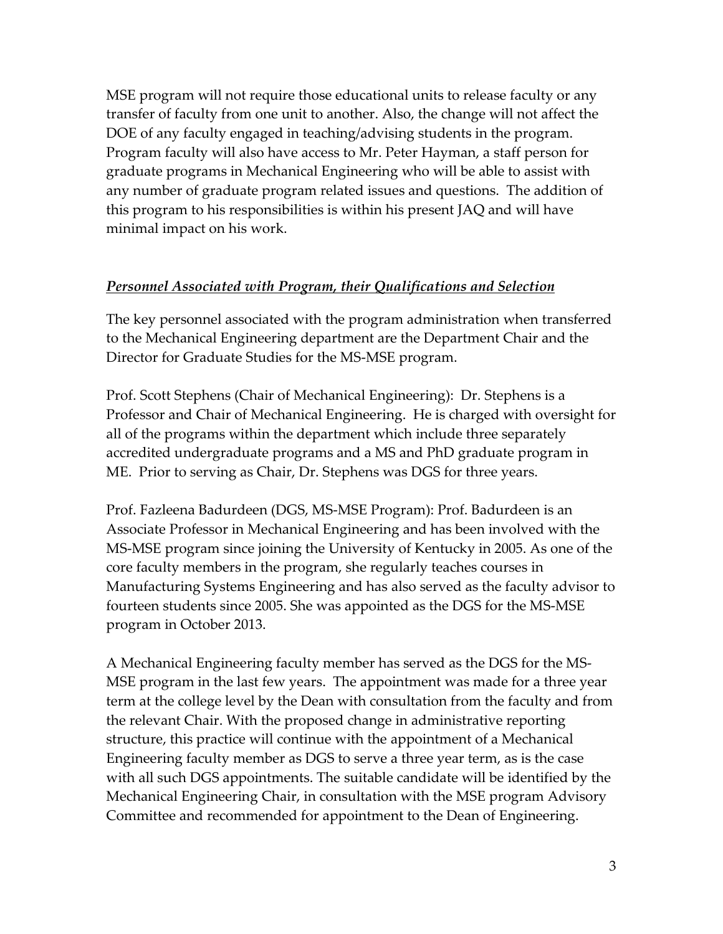MSE program will not require those educational units to release faculty or any transfer of faculty from one unit to another. Also, the change will not affect the DOE of any faculty engaged in teaching/advising students in the program. Program faculty will also have access to Mr. Peter Hayman, a staff person for graduate programs in Mechanical Engineering who will be able to assist with any number of graduate program related issues and questions. The addition of this program to his responsibilities is within his present JAQ and will have minimal impact on his work.

### *Personnel Associated with Program, their Qualifications and Selection*

The key personnel associated with the program administration when transferred to the Mechanical Engineering department are the Department Chair and the Director for Graduate Studies for the MS-MSE program.

Prof. Scott Stephens (Chair of Mechanical Engineering): Dr. Stephens is a Professor and Chair of Mechanical Engineering. He is charged with oversight for all of the programs within the department which include three separately accredited undergraduate programs and a MS and PhD graduate program in ME. Prior to serving as Chair, Dr. Stephens was DGS for three years.

Prof. Fazleena Badurdeen (DGS, MS-MSE Program): Prof. Badurdeen is an Associate Professor in Mechanical Engineering and has been involved with the MS-MSE program since joining the University of Kentucky in 2005. As one of the core faculty members in the program, she regularly teaches courses in Manufacturing Systems Engineering and has also served as the faculty advisor to fourteen students since 2005. She was appointed as the DGS for the MS-MSE program in October 2013.

A Mechanical Engineering faculty member has served as the DGS for the MS-MSE program in the last few years. The appointment was made for a three year term at the college level by the Dean with consultation from the faculty and from the relevant Chair. With the proposed change in administrative reporting structure, this practice will continue with the appointment of a Mechanical Engineering faculty member as DGS to serve a three year term, as is the case with all such DGS appointments. The suitable candidate will be identified by the Mechanical Engineering Chair, in consultation with the MSE program Advisory Committee and recommended for appointment to the Dean of Engineering.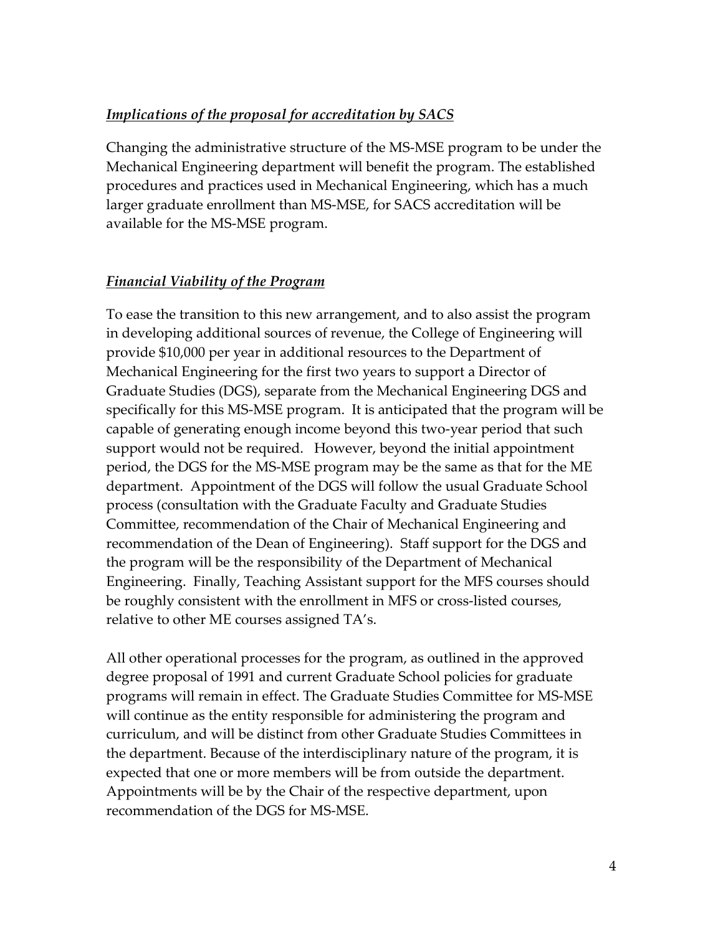## *Implications of the proposal for accreditation by SACS*

Changing the administrative structure of the MS-MSE program to be under the Mechanical Engineering department will benefit the program. The established procedures and practices used in Mechanical Engineering, which has a much larger graduate enrollment than MS-MSE, for SACS accreditation will be available for the MS-MSE program.

## *Financial Viability of the Program*

To ease the transition to this new arrangement, and to also assist the program in developing additional sources of revenue, the College of Engineering will provide \$10,000 per year in additional resources to the Department of Mechanical Engineering for the first two years to support a Director of Graduate Studies (DGS), separate from the Mechanical Engineering DGS and specifically for this MS-MSE program. It is anticipated that the program will be capable of generating enough income beyond this two-year period that such support would not be required. However, beyond the initial appointment period, the DGS for the MS-MSE program may be the same as that for the ME department. Appointment of the DGS will follow the usual Graduate School process (consultation with the Graduate Faculty and Graduate Studies Committee, recommendation of the Chair of Mechanical Engineering and recommendation of the Dean of Engineering). Staff support for the DGS and the program will be the responsibility of the Department of Mechanical Engineering. Finally, Teaching Assistant support for the MFS courses should be roughly consistent with the enrollment in MFS or cross-listed courses, relative to other ME courses assigned TA's.

All other operational processes for the program, as outlined in the approved degree proposal of 1991 and current Graduate School policies for graduate programs will remain in effect. The Graduate Studies Committee for MS-MSE will continue as the entity responsible for administering the program and curriculum, and will be distinct from other Graduate Studies Committees in the department. Because of the interdisciplinary nature of the program, it is expected that one or more members will be from outside the department. Appointments will be by the Chair of the respective department, upon recommendation of the DGS for MS-MSE.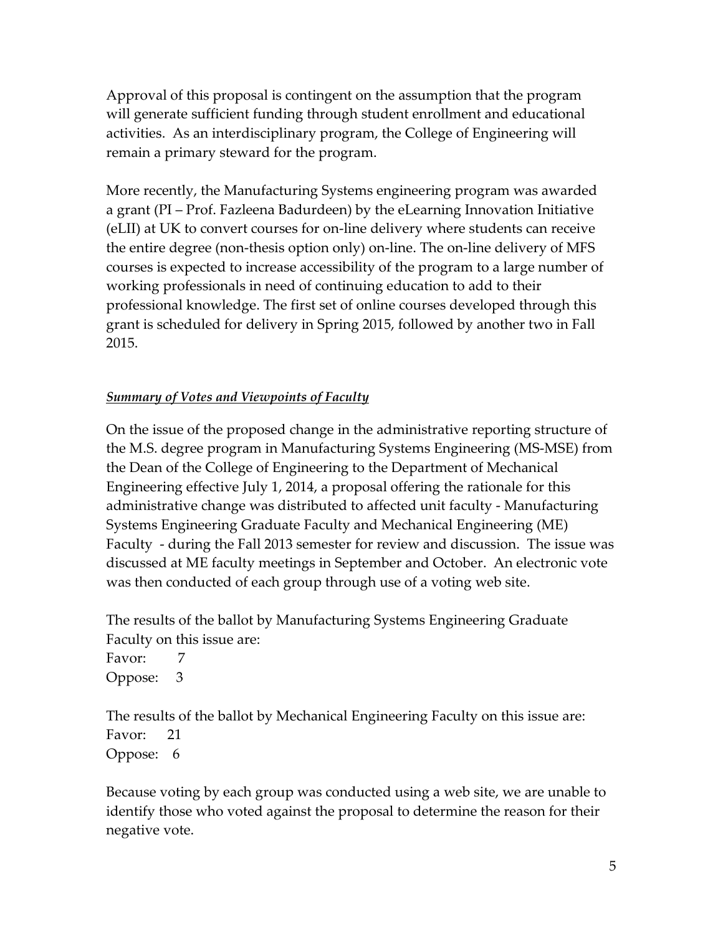Approval of this proposal is contingent on the assumption that the program will generate sufficient funding through student enrollment and educational activities. As an interdisciplinary program, the College of Engineering will remain a primary steward for the program.

More recently, the Manufacturing Systems engineering program was awarded a grant (PI – Prof. Fazleena Badurdeen) by the eLearning Innovation Initiative (eLII) at UK to convert courses for on-line delivery where students can receive the entire degree (non-thesis option only) on-line. The on-line delivery of MFS courses is expected to increase accessibility of the program to a large number of working professionals in need of continuing education to add to their professional knowledge. The first set of online courses developed through this grant is scheduled for delivery in Spring 2015, followed by another two in Fall 2015.

## *Summary of Votes and Viewpoints of Faculty*

On the issue of the proposed change in the administrative reporting structure of the M.S. degree program in Manufacturing Systems Engineering (MS-MSE) from the Dean of the College of Engineering to the Department of Mechanical Engineering effective July 1, 2014, a proposal offering the rationale for this administrative change was distributed to affected unit faculty - Manufacturing Systems Engineering Graduate Faculty and Mechanical Engineering (ME) Faculty - during the Fall 2013 semester for review and discussion. The issue was discussed at ME faculty meetings in September and October. An electronic vote was then conducted of each group through use of a voting web site.

The results of the ballot by Manufacturing Systems Engineering Graduate Faculty on this issue are:

Favor: 7 Oppose: 3

The results of the ballot by Mechanical Engineering Faculty on this issue are: Favor: 21 Oppose: 6

Because voting by each group was conducted using a web site, we are unable to identify those who voted against the proposal to determine the reason for their negative vote.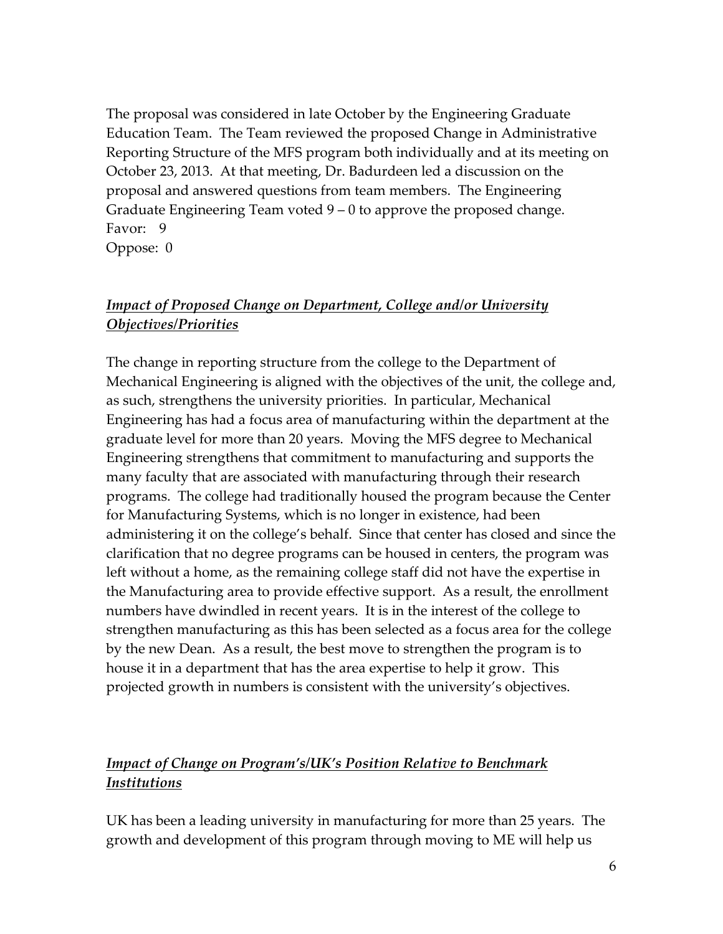The proposal was considered in late October by the Engineering Graduate Education Team. The Team reviewed the proposed Change in Administrative Reporting Structure of the MFS program both individually and at its meeting on October 23, 2013. At that meeting, Dr. Badurdeen led a discussion on the proposal and answered questions from team members. The Engineering Graduate Engineering Team voted 9 – 0 to approve the proposed change. Favor: 9

Oppose: 0

# *Impact of Proposed Change on Department, College and/or University Objectives/Priorities*

The change in reporting structure from the college to the Department of Mechanical Engineering is aligned with the objectives of the unit, the college and, as such, strengthens the university priorities. In particular, Mechanical Engineering has had a focus area of manufacturing within the department at the graduate level for more than 20 years. Moving the MFS degree to Mechanical Engineering strengthens that commitment to manufacturing and supports the many faculty that are associated with manufacturing through their research programs. The college had traditionally housed the program because the Center for Manufacturing Systems, which is no longer in existence, had been administering it on the college's behalf. Since that center has closed and since the clarification that no degree programs can be housed in centers, the program was left without a home, as the remaining college staff did not have the expertise in the Manufacturing area to provide effective support. As a result, the enrollment numbers have dwindled in recent years. It is in the interest of the college to strengthen manufacturing as this has been selected as a focus area for the college by the new Dean. As a result, the best move to strengthen the program is to house it in a department that has the area expertise to help it grow. This projected growth in numbers is consistent with the university's objectives.

# *Impact of Change on Program's/UK's Position Relative to Benchmark Institutions*

UK has been a leading university in manufacturing for more than 25 years. The growth and development of this program through moving to ME will help us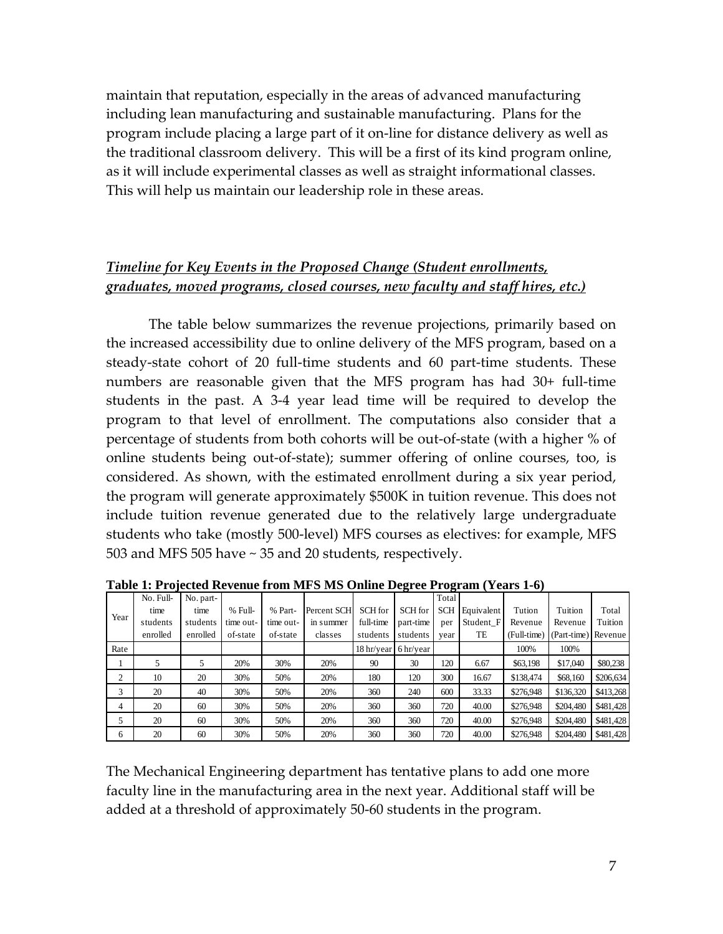maintain that reputation, especially in the areas of advanced manufacturing including lean manufacturing and sustainable manufacturing. Plans for the program include placing a large part of it on-line for distance delivery as well as the traditional classroom delivery. This will be a first of its kind program online, as it will include experimental classes as well as straight informational classes. This will help us maintain our leadership role in these areas.

## *Timeline for Key Events in the Proposed Change (Student enrollments, graduates, moved programs, closed courses, new faculty and staff hires, etc.)*

The table below summarizes the revenue projections, primarily based on the increased accessibility due to online delivery of the MFS program, based on a steady-state cohort of 20 full-time students and 60 part-time students. These numbers are reasonable given that the MFS program has had 30+ full-time students in the past. A 3-4 year lead time will be required to develop the program to that level of enrollment. The computations also consider that a percentage of students from both cohorts will be out-of-state (with a higher % of online students being out-of-state); summer offering of online courses, too, is considered. As shown, with the estimated enrollment during a six year period, the program will generate approximately \$500K in tuition revenue. This does not include tuition revenue generated due to the relatively large undergraduate students who take (mostly 500-level) MFS courses as electives: for example, MFS 503 and MFS 505 have ~ 35 and 20 students, respectively.

|                | No. Full- | No. part- |           |           |             |            |                     | Total      |            |             |                     |           |
|----------------|-----------|-----------|-----------|-----------|-------------|------------|---------------------|------------|------------|-------------|---------------------|-----------|
|                | time      | time      | % Full-   | % Part-   | Percent SCH | SCH for    | SCH for             | <b>SCH</b> | Equivalent | Tution      | Tuition             | Total     |
| Year           | students  | students  | time out- | time out- | in summer   | full-time  | part-time           | per        | Student F1 | Revenue     | Revenue             | Tuition   |
|                | enrolled  | enrolled  | of-state  | of-state  | classes     | students   | students            | year       | TE         | (Full-time) | (Part-time) Revenue |           |
| Rate           |           |           |           |           |             | 18 hr/year | $6\,\text{hr/year}$ |            |            | 100%        | 100%                |           |
|                | 5         |           | 20%       | 30%       | 20%         | 90         | 30                  | 120        | 6.67       | \$63,198    | \$17,040            | \$80,238  |
| 2              | 10        | 20        | 30%       | 50%       | 20%         | 180        | 120                 | 300        | 16.67      | \$138,474   | \$68,160            | \$206,634 |
| 3              | 20        | 40        | 30%       | 50%       | 20%         | 360        | 240                 | 600        | 33.33      | \$276,948   | \$136,320           | \$413,268 |
| $\overline{4}$ | 20        | 60        | 30%       | 50%       | 20%         | 360        | 360                 | 720        | 40.00      | \$276,948   | \$204,480           | \$481,428 |
| 5              | 20        | 60        | 30%       | 50%       | 20%         | 360        | 360                 | 720        | 40.00      | \$276,948   | \$204,480           | \$481,428 |
| 6              | 20        | 60        | 30%       | 50%       | 20%         | 360        | 360                 | 720        | 40.00      | \$276,948   | \$204,480           | \$481,428 |

**Table 1: Projected Revenue from MFS MS Online Degree Program (Years 1-6)**

The Mechanical Engineering department has tentative plans to add one more faculty line in the manufacturing area in the next year. Additional staff will be added at a threshold of approximately 50-60 students in the program.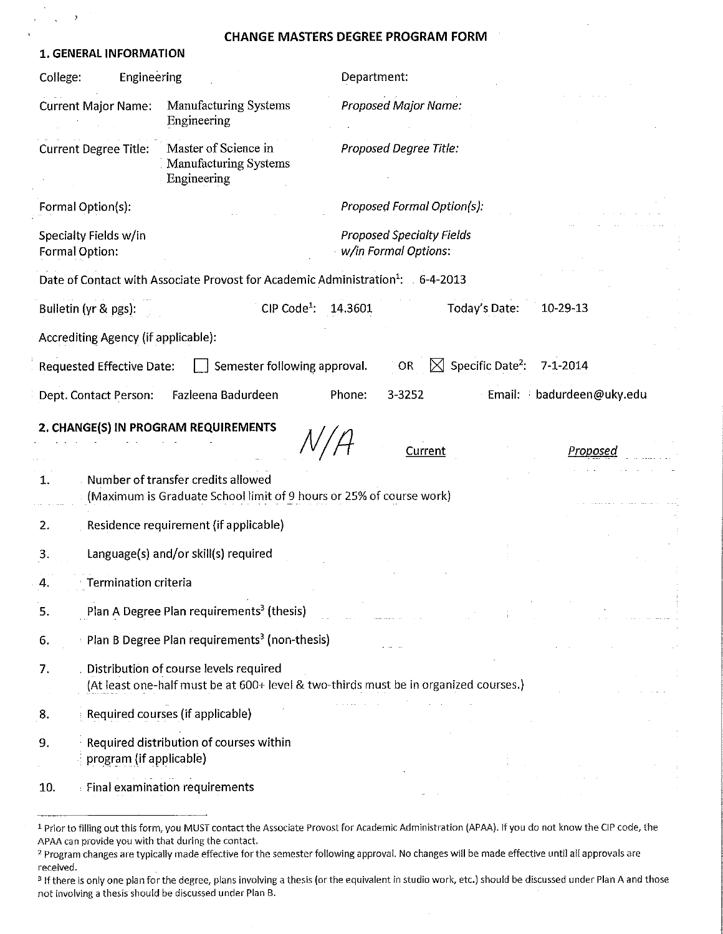#### **CHANGE MASTERS DEGREE PROGRAM FORM**

 $\kappa = \sqrt{\sqrt{2}}$ 

 $\bar{\gamma}$ 

| 1. GENERAL INFORMATION                  |                                                                                                                                |             |                                                          |                                          |                          |  |
|-----------------------------------------|--------------------------------------------------------------------------------------------------------------------------------|-------------|----------------------------------------------------------|------------------------------------------|--------------------------|--|
| Engineering<br>College:                 |                                                                                                                                | Department: |                                                          |                                          |                          |  |
| <b>Current Major Name:</b>              | Manufacturing Systems<br>Engineering                                                                                           |             | <b>Proposed Major Name:</b>                              |                                          |                          |  |
| <b>Current Degree Title:</b>            | Master of Science in<br><b>Manufacturing Systems</b><br>Engineering                                                            |             | Proposed Degree Title:                                   |                                          |                          |  |
| Formal Option(s):                       |                                                                                                                                |             | Proposed Formal Option(s):                               |                                          |                          |  |
| Specialty Fields w/in<br>Formal Option: |                                                                                                                                |             | <b>Proposed Specialty Fields</b><br>w/in Formal Options: |                                          |                          |  |
|                                         | Date of Contact with Associate Provost for Academic Administration <sup>1</sup> : 6-4-2013                                     |             |                                                          |                                          |                          |  |
| Bulletin (yr & pgs):                    | $CIP Code1$ :                                                                                                                  | 14.3601     |                                                          | Today's Date:                            | 10-29-13                 |  |
| Accrediting Agency (if applicable):     |                                                                                                                                |             |                                                          |                                          |                          |  |
| <b>Requested Effective Date:</b>        | Semester following approval.                                                                                                   |             | OR                                                       | $\boxtimes$ Specific Date <sup>2</sup> : | $7 - 1 - 2014$           |  |
| Dept. Contact Person:                   | Fazleena Badurdeen                                                                                                             | Phone:      | 3-3252                                                   |                                          | Email: badurdeen@uky.edu |  |
| 1.                                      | 2. CHANGE(S) IN PROGRAM REQUIREMENTS<br>Number of transfer credits allowed                                                     |             | Current                                                  |                                          | Proposed                 |  |
|                                         | (Maximum is Graduate School limit of 9 hours or 25% of course work)                                                            |             |                                                          |                                          |                          |  |
| 2.                                      | Residence requirement (if applicable)                                                                                          |             |                                                          |                                          |                          |  |
| 3.                                      | Language(s) and/or skill(s) required                                                                                           |             |                                                          |                                          |                          |  |
| Termination criteria<br>4.              |                                                                                                                                |             |                                                          |                                          |                          |  |
| 5.                                      | Plan A Degree Plan requirements <sup>3</sup> (thesis)                                                                          |             |                                                          |                                          |                          |  |
| 6.                                      | Plan B Degree Plan requirements <sup>3</sup> (non-thesis)                                                                      |             |                                                          |                                          |                          |  |
| 7.                                      | Distribution of course levels required<br>(At least one-half must be at 600+ level & two-thirds must be in organized courses.) |             |                                                          |                                          |                          |  |
| 8.                                      | Required courses (if applicable)                                                                                               |             |                                                          |                                          |                          |  |
| 9.<br>program (if applicable)           | Required distribution of courses within                                                                                        |             |                                                          |                                          |                          |  |
| 10.                                     | <b>Einal examination requirements</b>                                                                                          |             |                                                          |                                          |                          |  |

<sup>&</sup>lt;sup>1</sup> Prior to filling out this form, you MUST contact the Associate Provost for Academic Administration (APAA). If you do not know the CIP code, the APAA can provide you with that during the contact.

<sup>&</sup>lt;sup>2</sup> Program changes are typically made effective for the semester following approval. No changes will be made effective until all approvals are received.

<sup>&</sup>lt;sup>3</sup> If there is only one plan for the degree, plans involving a thesis (or the equivalent in studio work, etc.) should be discussed under Plan A and those not involving a thesis should be discussed under Plan B.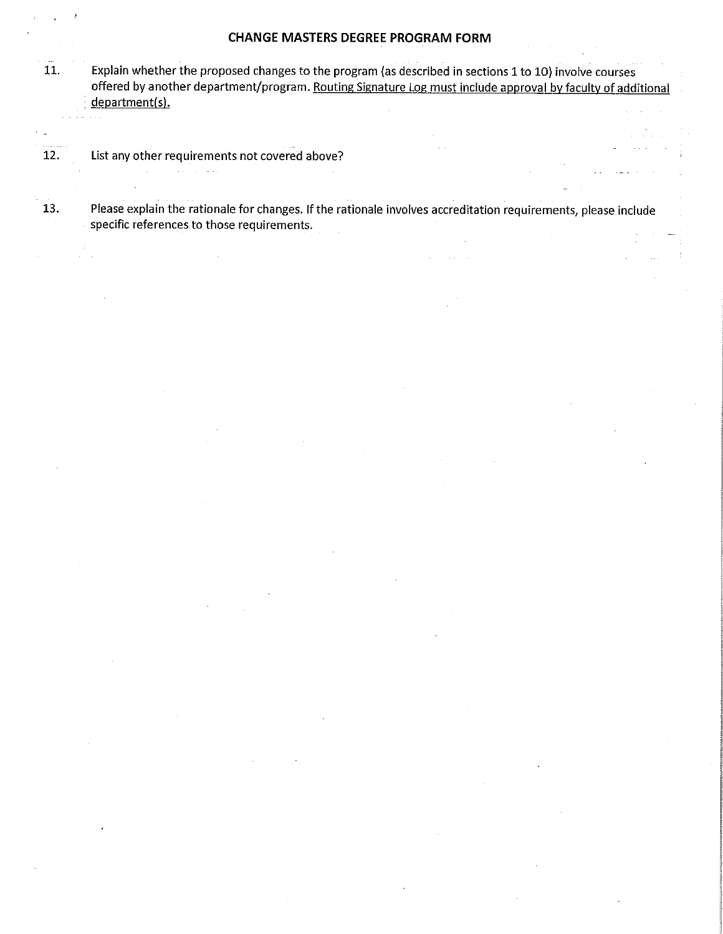#### **CHANGE MASTERS DEGREE PROGRAM FORM**

- Explain whether the proposed changes to the program (as described in sections 1 to 10) involve courses  $11.$ offered by another department/program. Routing Signature Log must include approval by faculty of additional department(s).
- 12. List any other requirements not covered above?

 $\sim 10$ 

Please explain the rationale for changes. If the rationale involves accreditation requirements, please include 13. specific references to those requirements.